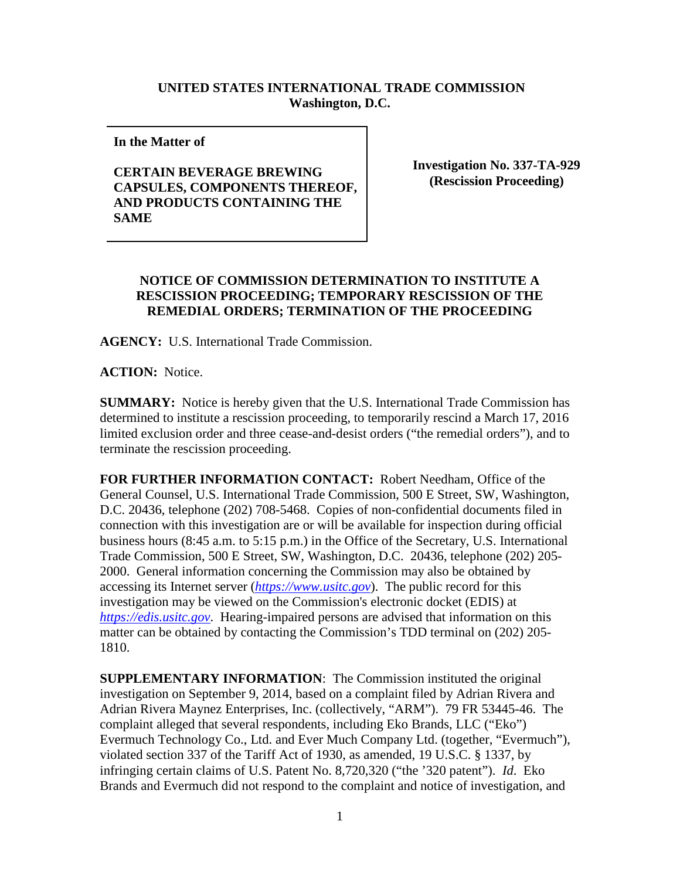## **UNITED STATES INTERNATIONAL TRADE COMMISSION Washington, D.C.**

**In the Matter of** 

## **CERTAIN BEVERAGE BREWING CAPSULES, COMPONENTS THEREOF, AND PRODUCTS CONTAINING THE SAME**

**Investigation No. 337-TA-929 (Rescission Proceeding)**

## **NOTICE OF COMMISSION DETERMINATION TO INSTITUTE A RESCISSION PROCEEDING; TEMPORARY RESCISSION OF THE REMEDIAL ORDERS; TERMINATION OF THE PROCEEDING**

**AGENCY:** U.S. International Trade Commission.

**ACTION:** Notice.

**SUMMARY:** Notice is hereby given that the U.S. International Trade Commission has determined to institute a rescission proceeding, to temporarily rescind a March 17, 2016 limited exclusion order and three cease-and-desist orders ("the remedial orders"), and to terminate the rescission proceeding.

**FOR FURTHER INFORMATION CONTACT:** Robert Needham, Office of the General Counsel, U.S. International Trade Commission, 500 E Street, SW, Washington, D.C. 20436, telephone (202) 708-5468. Copies of non-confidential documents filed in connection with this investigation are or will be available for inspection during official business hours (8:45 a.m. to 5:15 p.m.) in the Office of the Secretary, U.S. International Trade Commission, 500 E Street, SW, Washington, D.C. 20436, telephone (202) 205- 2000. General information concerning the Commission may also be obtained by accessing its Internet server (*[https://www.usitc.gov](https://www.usitc.gov/)*). The public record for this investigation may be viewed on the Commission's electronic docket (EDIS) at *[https://edis.usitc.gov](https://edis.usitc.gov/)*. Hearing-impaired persons are advised that information on this matter can be obtained by contacting the Commission's TDD terminal on (202) 205- 1810.

**SUPPLEMENTARY INFORMATION**: The Commission instituted the original investigation on September 9, 2014, based on a complaint filed by Adrian Rivera and Adrian Rivera Maynez Enterprises, Inc. (collectively, "ARM"). 79 FR 53445-46. The complaint alleged that several respondents, including Eko Brands, LLC ("Eko") Evermuch Technology Co., Ltd. and Ever Much Company Ltd. (together, "Evermuch"), violated section 337 of the Tariff Act of 1930, as amended, 19 U.S.C. § 1337, by infringing certain claims of U.S. Patent No. 8,720,320 ("the '320 patent"). *Id*. Eko Brands and Evermuch did not respond to the complaint and notice of investigation, and